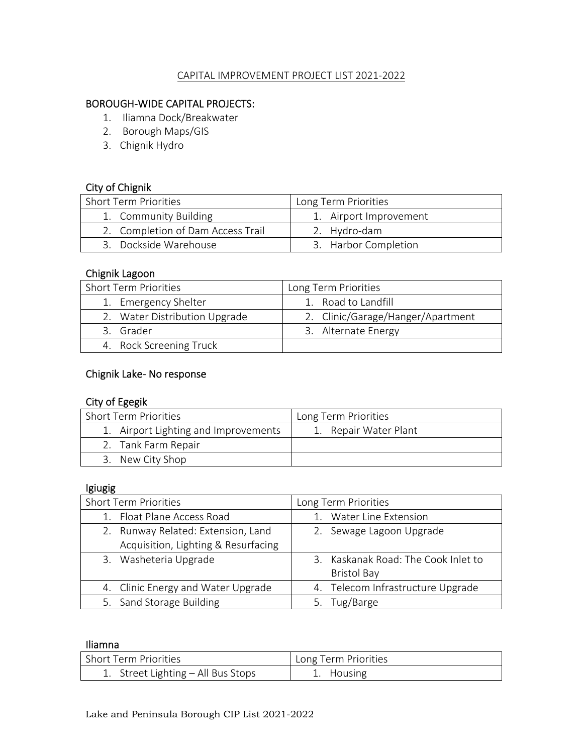#### CAPITAL IMPROVEMENT PROJECT LIST 2021‐2022

## BOROUGH‐WIDE CAPITAL PROJECTS:

- 1. Iliamna Dock/Breakwater
- 2. Borough Maps/GIS
- 3. Chignik Hydro

#### City of Chignik

| <b>Short Term Priorities</b>      | Long Term Priorities   |
|-----------------------------------|------------------------|
| 1. Community Building             | 1. Airport Improvement |
| 2. Completion of Dam Access Trail | 2. Hydro-dam           |
| 3. Dockside Warehouse             | 3. Harbor Completion   |

#### Chignik Lagoon

| <b>Short Term Priorities</b>  | Long Term Priorities              |
|-------------------------------|-----------------------------------|
| 1. Emergency Shelter          | 1. Road to Landfill               |
| 2. Water Distribution Upgrade | 2. Clinic/Garage/Hanger/Apartment |
| 3. Grader                     | 3. Alternate Energy               |
| 4. Rock Screening Truck       |                                   |

### Chignik Lake‐ No response

#### City of Egegik

| <b>Short Term Priorities</b>         | Long Term Priorities  |
|--------------------------------------|-----------------------|
| 1. Airport Lighting and Improvements | 1. Repair Water Plant |
| 2. Tank Farm Repair                  |                       |
| 3. New City Shop                     |                       |

#### Igiugig

| <b>Short Term Priorities</b>        | Long Term Priorities                |
|-------------------------------------|-------------------------------------|
| 1. Float Plane Access Road          | <b>Water Line Extension</b>         |
| 2. Runway Related: Extension, Land  | 2. Sewage Lagoon Upgrade            |
| Acquisition, Lighting & Resurfacing |                                     |
| 3. Washeteria Upgrade               | 3. Kaskanak Road: The Cook Inlet to |
|                                     | <b>Bristol Bay</b>                  |
| 4. Clinic Energy and Water Upgrade  | 4. Telecom Infrastructure Upgrade   |
| 5. Sand Storage Building            | 5. Tug/Barge                        |

#### Iliamna

| l Short Term Priorities            | Long Term Priorities |
|------------------------------------|----------------------|
| 1. Street Lighting – All Bus Stops | 1. Housing           |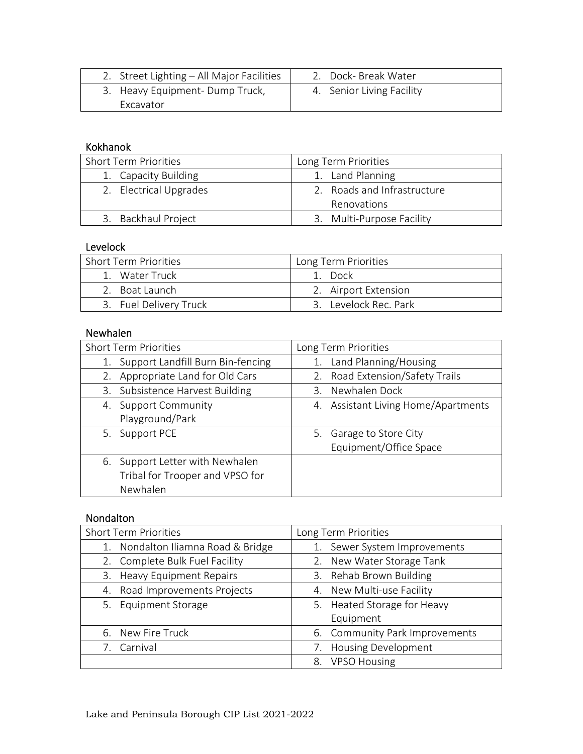| 2. Street Lighting - All Major Facilities | 2. Dock- Break Water      |
|-------------------------------------------|---------------------------|
| 3. Heavy Equipment-Dump Truck,            | 4. Senior Living Facility |
| Excavator                                 |                           |

#### Kokhanok

| <b>Short Term Priorities</b> | Long Term Priorities        |
|------------------------------|-----------------------------|
| 1. Capacity Building         | 1. Land Planning            |
| 2. Electrical Upgrades       | 2. Roads and Infrastructure |
|                              | <b>Renovations</b>          |
| 3. Backhaul Project          | 3. Multi-Purpose Facility   |

## Levelock

| <b>Short Term Priorities</b> | Long Term Priorities  |
|------------------------------|-----------------------|
| 1. Water Truck               | 1 Dock                |
| 2. Boat Launch               | 2. Airport Extension  |
| 3. Fuel Delivery Truck       | 3. Levelock Rec. Park |

# Newhalen

| <b>Short Term Priorities</b>                                                   | Long Term Priorities                                 |
|--------------------------------------------------------------------------------|------------------------------------------------------|
| Support Landfill Burn Bin-fencing<br>1.                                        | 1. Land Planning/Housing                             |
| 2. Appropriate Land for Old Cars                                               | 2. Road Extension/Safety Trails                      |
| 3. Subsistence Harvest Building                                                | 3. Newhalen Dock                                     |
| 4. Support Community<br>Playground/Park                                        | 4. Assistant Living Home/Apartments                  |
| 5. Support PCE                                                                 | Garage to Store City<br>5.<br>Equipment/Office Space |
| 6. Support Letter with Newhalen<br>Tribal for Trooper and VPSO for<br>Newhalen |                                                      |

## Nondalton

| <b>Short Term Priorities</b>       | Long Term Priorities             |
|------------------------------------|----------------------------------|
| 1. Nondalton Iliamna Road & Bridge | Sewer System Improvements<br>1.  |
| 2. Complete Bulk Fuel Facility     | 2. New Water Storage Tank        |
| 3. Heavy Equipment Repairs         | 3. Rehab Brown Building          |
| 4. Road Improvements Projects      | 4. New Multi-use Facility        |
| 5. Equipment Storage               | 5. Heated Storage for Heavy      |
|                                    | Equipment                        |
| 6. New Fire Truck                  | 6. Community Park Improvements   |
| Carnival<br>7.                     | <b>Housing Development</b><br>7. |
|                                    | 8. VPSO Housing                  |